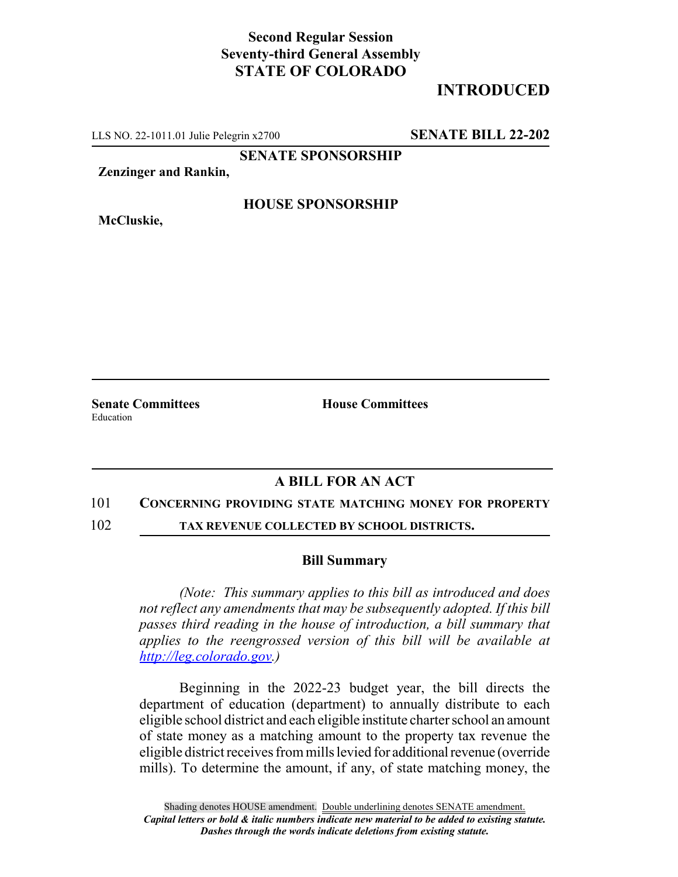## **Second Regular Session Seventy-third General Assembly STATE OF COLORADO**

# **INTRODUCED**

LLS NO. 22-1011.01 Julie Pelegrin x2700 **SENATE BILL 22-202**

**SENATE SPONSORSHIP**

**Zenzinger and Rankin,**

**McCluskie,**

### **HOUSE SPONSORSHIP**

**Senate Committees House Committees** Education

### **A BILL FOR AN ACT**

#### 101 **CONCERNING PROVIDING STATE MATCHING MONEY FOR PROPERTY**

102 **TAX REVENUE COLLECTED BY SCHOOL DISTRICTS.**

### **Bill Summary**

*(Note: This summary applies to this bill as introduced and does not reflect any amendments that may be subsequently adopted. If this bill passes third reading in the house of introduction, a bill summary that applies to the reengrossed version of this bill will be available at http://leg.colorado.gov.)*

Beginning in the 2022-23 budget year, the bill directs the department of education (department) to annually distribute to each eligible school district and each eligible institute charter school an amount of state money as a matching amount to the property tax revenue the eligible district receives from mills levied for additional revenue (override mills). To determine the amount, if any, of state matching money, the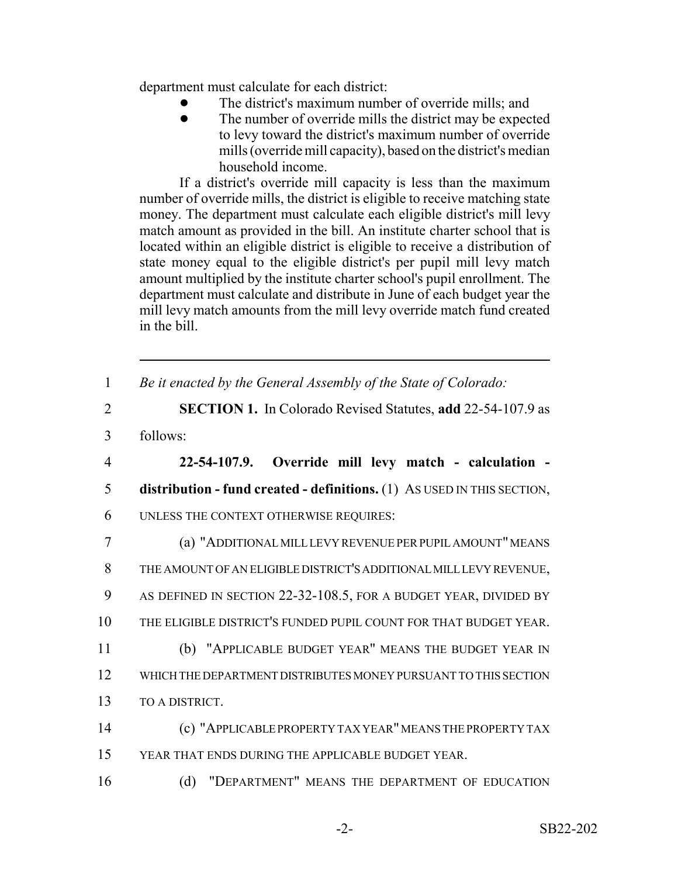department must calculate for each district:

- The district's maximum number of override mills; and
- The number of override mills the district may be expected to levy toward the district's maximum number of override mills (override mill capacity), based on the district's median household income.

If a district's override mill capacity is less than the maximum number of override mills, the district is eligible to receive matching state money. The department must calculate each eligible district's mill levy match amount as provided in the bill. An institute charter school that is located within an eligible district is eligible to receive a distribution of state money equal to the eligible district's per pupil mill levy match amount multiplied by the institute charter school's pupil enrollment. The department must calculate and distribute in June of each budget year the mill levy match amounts from the mill levy override match fund created in the bill.

| $\mathbf{1}$   | Be it enacted by the General Assembly of the State of Colorado:         |
|----------------|-------------------------------------------------------------------------|
| $\overline{2}$ | <b>SECTION 1.</b> In Colorado Revised Statutes, add 22-54-107.9 as      |
| 3              | follows:                                                                |
| $\overline{4}$ | 22-54-107.9. Override mill levy match - calculation -                   |
| 5              | distribution - fund created - definitions. (1) As USED IN THIS SECTION, |
| 6              | UNLESS THE CONTEXT OTHERWISE REQUIRES:                                  |
| 7              | (a) "ADDITIONAL MILL LEVY REVENUE PER PUPIL AMOUNT" MEANS               |
| 8              | THE AMOUNT OF AN ELIGIBLE DISTRICT'S ADDITIONAL MILL LEVY REVENUE,      |
| 9              | AS DEFINED IN SECTION 22-32-108.5, FOR A BUDGET YEAR, DIVIDED BY        |
| 10             | THE ELIGIBLE DISTRICT'S FUNDED PUPIL COUNT FOR THAT BUDGET YEAR.        |
| 11             | (b) "APPLICABLE BUDGET YEAR" MEANS THE BUDGET YEAR IN                   |
| 12             | WHICH THE DEPARTMENT DISTRIBUTES MONEY PURSUANT TO THIS SECTION         |
| 13             | TO A DISTRICT.                                                          |
| 14             | (c) "APPLICABLE PROPERTY TAX YEAR" MEANS THE PROPERTY TAX               |
| 15             | YEAR THAT ENDS DURING THE APPLICABLE BUDGET YEAR.                       |
| 16             | (d)<br>"DEPARTMENT" MEANS THE DEPARTMENT OF EDUCATION                   |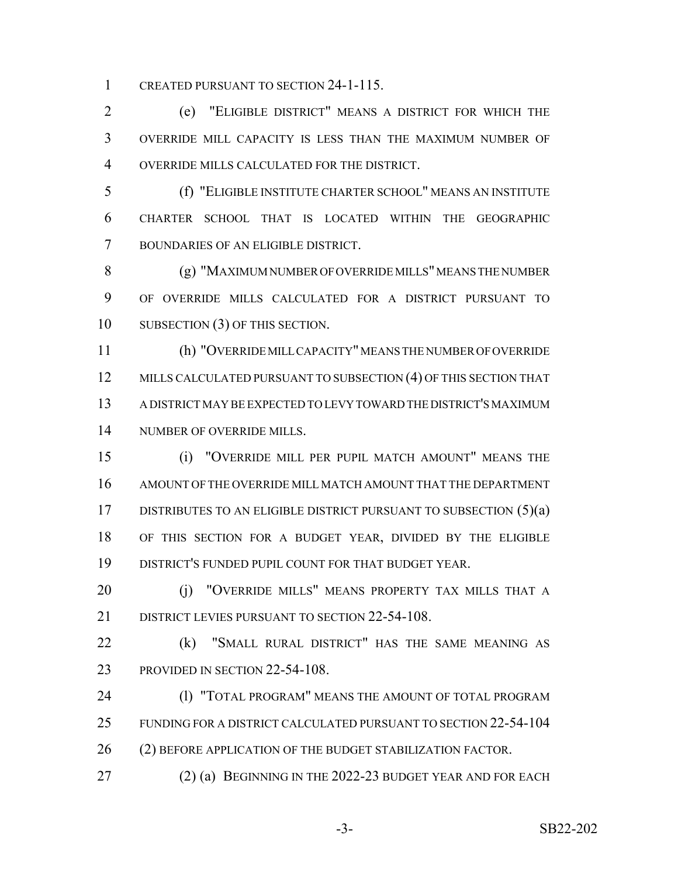CREATED PURSUANT TO SECTION 24-1-115.

 (e) "ELIGIBLE DISTRICT" MEANS A DISTRICT FOR WHICH THE OVERRIDE MILL CAPACITY IS LESS THAN THE MAXIMUM NUMBER OF OVERRIDE MILLS CALCULATED FOR THE DISTRICT.

 (f) "ELIGIBLE INSTITUTE CHARTER SCHOOL" MEANS AN INSTITUTE CHARTER SCHOOL THAT IS LOCATED WITHIN THE GEOGRAPHIC BOUNDARIES OF AN ELIGIBLE DISTRICT.

 (g) "MAXIMUM NUMBER OF OVERRIDE MILLS" MEANS THE NUMBER OF OVERRIDE MILLS CALCULATED FOR A DISTRICT PURSUANT TO SUBSECTION (3) OF THIS SECTION.

 (h) "OVERRIDE MILL CAPACITY" MEANS THE NUMBER OF OVERRIDE 12 MILLS CALCULATED PURSUANT TO SUBSECTION (4) OF THIS SECTION THAT A DISTRICT MAY BE EXPECTED TO LEVY TOWARD THE DISTRICT'S MAXIMUM NUMBER OF OVERRIDE MILLS.

 (i) "OVERRIDE MILL PER PUPIL MATCH AMOUNT" MEANS THE AMOUNT OF THE OVERRIDE MILL MATCH AMOUNT THAT THE DEPARTMENT 17 DISTRIBUTES TO AN ELIGIBLE DISTRICT PURSUANT TO SUBSECTION (5)(a) OF THIS SECTION FOR A BUDGET YEAR, DIVIDED BY THE ELIGIBLE DISTRICT'S FUNDED PUPIL COUNT FOR THAT BUDGET YEAR.

20 (i) "OVERRIDE MILLS" MEANS PROPERTY TAX MILLS THAT A 21 DISTRICT LEVIES PURSUANT TO SECTION 22-54-108.

 (k) "SMALL RURAL DISTRICT" HAS THE SAME MEANING AS 23 PROVIDED IN SECTION 22-54-108.

24 (I) "TOTAL PROGRAM" MEANS THE AMOUNT OF TOTAL PROGRAM FUNDING FOR A DISTRICT CALCULATED PURSUANT TO SECTION 22-54-104 26 (2) BEFORE APPLICATION OF THE BUDGET STABILIZATION FACTOR.

27 (2) (a) BEGINNING IN THE 2022-23 BUDGET YEAR AND FOR EACH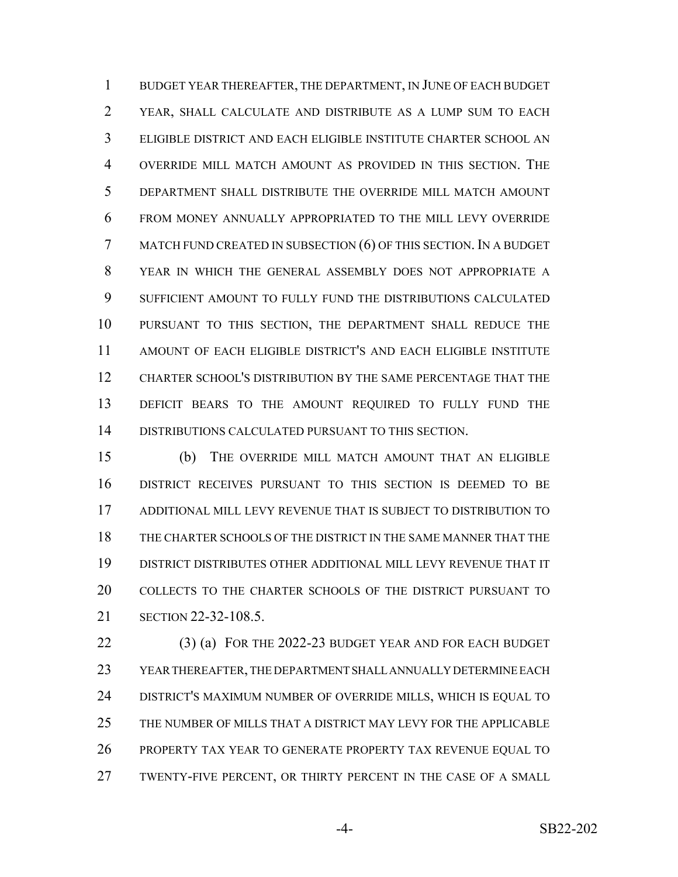BUDGET YEAR THEREAFTER, THE DEPARTMENT, IN JUNE OF EACH BUDGET YEAR, SHALL CALCULATE AND DISTRIBUTE AS A LUMP SUM TO EACH ELIGIBLE DISTRICT AND EACH ELIGIBLE INSTITUTE CHARTER SCHOOL AN OVERRIDE MILL MATCH AMOUNT AS PROVIDED IN THIS SECTION. THE DEPARTMENT SHALL DISTRIBUTE THE OVERRIDE MILL MATCH AMOUNT FROM MONEY ANNUALLY APPROPRIATED TO THE MILL LEVY OVERRIDE MATCH FUND CREATED IN SUBSECTION (6) OF THIS SECTION. IN A BUDGET YEAR IN WHICH THE GENERAL ASSEMBLY DOES NOT APPROPRIATE A SUFFICIENT AMOUNT TO FULLY FUND THE DISTRIBUTIONS CALCULATED PURSUANT TO THIS SECTION, THE DEPARTMENT SHALL REDUCE THE AMOUNT OF EACH ELIGIBLE DISTRICT'S AND EACH ELIGIBLE INSTITUTE CHARTER SCHOOL'S DISTRIBUTION BY THE SAME PERCENTAGE THAT THE DEFICIT BEARS TO THE AMOUNT REQUIRED TO FULLY FUND THE DISTRIBUTIONS CALCULATED PURSUANT TO THIS SECTION.

 (b) THE OVERRIDE MILL MATCH AMOUNT THAT AN ELIGIBLE DISTRICT RECEIVES PURSUANT TO THIS SECTION IS DEEMED TO BE ADDITIONAL MILL LEVY REVENUE THAT IS SUBJECT TO DISTRIBUTION TO THE CHARTER SCHOOLS OF THE DISTRICT IN THE SAME MANNER THAT THE DISTRICT DISTRIBUTES OTHER ADDITIONAL MILL LEVY REVENUE THAT IT COLLECTS TO THE CHARTER SCHOOLS OF THE DISTRICT PURSUANT TO SECTION 22-32-108.5.

 (3) (a) FOR THE 2022-23 BUDGET YEAR AND FOR EACH BUDGET YEAR THEREAFTER, THE DEPARTMENT SHALL ANNUALLY DETERMINE EACH DISTRICT'S MAXIMUM NUMBER OF OVERRIDE MILLS, WHICH IS EQUAL TO THE NUMBER OF MILLS THAT A DISTRICT MAY LEVY FOR THE APPLICABLE PROPERTY TAX YEAR TO GENERATE PROPERTY TAX REVENUE EQUAL TO TWENTY-FIVE PERCENT, OR THIRTY PERCENT IN THE CASE OF A SMALL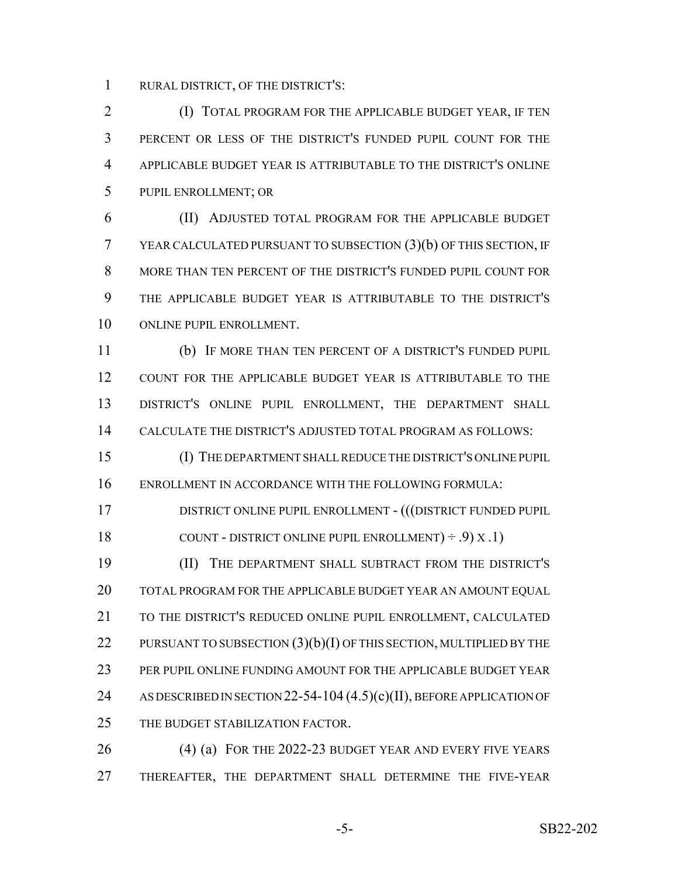RURAL DISTRICT, OF THE DISTRICT'S:

 (I) TOTAL PROGRAM FOR THE APPLICABLE BUDGET YEAR, IF TEN PERCENT OR LESS OF THE DISTRICT'S FUNDED PUPIL COUNT FOR THE APPLICABLE BUDGET YEAR IS ATTRIBUTABLE TO THE DISTRICT'S ONLINE PUPIL ENROLLMENT; OR

 (II) ADJUSTED TOTAL PROGRAM FOR THE APPLICABLE BUDGET YEAR CALCULATED PURSUANT TO SUBSECTION (3)(b) OF THIS SECTION, IF MORE THAN TEN PERCENT OF THE DISTRICT'S FUNDED PUPIL COUNT FOR THE APPLICABLE BUDGET YEAR IS ATTRIBUTABLE TO THE DISTRICT'S ONLINE PUPIL ENROLLMENT.

 (b) IF MORE THAN TEN PERCENT OF A DISTRICT'S FUNDED PUPIL COUNT FOR THE APPLICABLE BUDGET YEAR IS ATTRIBUTABLE TO THE DISTRICT'S ONLINE PUPIL ENROLLMENT, THE DEPARTMENT SHALL CALCULATE THE DISTRICT'S ADJUSTED TOTAL PROGRAM AS FOLLOWS:

 (I) THE DEPARTMENT SHALL REDUCE THE DISTRICT'S ONLINE PUPIL ENROLLMENT IN ACCORDANCE WITH THE FOLLOWING FORMULA:

 DISTRICT ONLINE PUPIL ENROLLMENT - (((DISTRICT FUNDED PUPIL 18 COUNT - DISTRICT ONLINE PUPIL ENROLLMENT $) \div .9$   $(X .1)$ 

 (II) THE DEPARTMENT SHALL SUBTRACT FROM THE DISTRICT'S TOTAL PROGRAM FOR THE APPLICABLE BUDGET YEAR AN AMOUNT EQUAL TO THE DISTRICT'S REDUCED ONLINE PUPIL ENROLLMENT, CALCULATED 22 PURSUANT TO SUBSECTION  $(3)(b)(I)$  OF THIS SECTION, MULTIPLIED BY THE PER PUPIL ONLINE FUNDING AMOUNT FOR THE APPLICABLE BUDGET YEAR 24 AS DESCRIBED IN SECTION 22-54-104 (4.5)(c)(II), BEFORE APPLICATION OF 25 THE BUDGET STABILIZATION FACTOR.

 (4) (a) FOR THE 2022-23 BUDGET YEAR AND EVERY FIVE YEARS THEREAFTER, THE DEPARTMENT SHALL DETERMINE THE FIVE-YEAR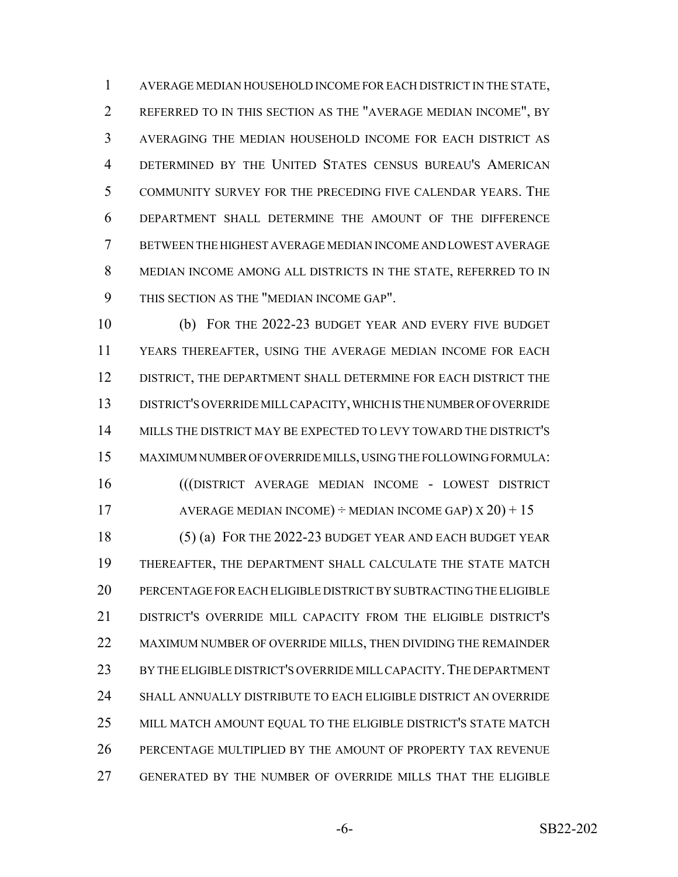AVERAGE MEDIAN HOUSEHOLD INCOME FOR EACH DISTRICT IN THE STATE, REFERRED TO IN THIS SECTION AS THE "AVERAGE MEDIAN INCOME", BY AVERAGING THE MEDIAN HOUSEHOLD INCOME FOR EACH DISTRICT AS DETERMINED BY THE UNITED STATES CENSUS BUREAU'S AMERICAN COMMUNITY SURVEY FOR THE PRECEDING FIVE CALENDAR YEARS. THE DEPARTMENT SHALL DETERMINE THE AMOUNT OF THE DIFFERENCE BETWEEN THE HIGHEST AVERAGE MEDIAN INCOME AND LOWEST AVERAGE MEDIAN INCOME AMONG ALL DISTRICTS IN THE STATE, REFERRED TO IN THIS SECTION AS THE "MEDIAN INCOME GAP".

 (b) FOR THE 2022-23 BUDGET YEAR AND EVERY FIVE BUDGET YEARS THEREAFTER, USING THE AVERAGE MEDIAN INCOME FOR EACH DISTRICT, THE DEPARTMENT SHALL DETERMINE FOR EACH DISTRICT THE DISTRICT'S OVERRIDE MILL CAPACITY, WHICH IS THE NUMBER OF OVERRIDE MILLS THE DISTRICT MAY BE EXPECTED TO LEVY TOWARD THE DISTRICT'S MAXIMUM NUMBER OF OVERRIDE MILLS, USING THE FOLLOWING FORMULA: (((DISTRICT AVERAGE MEDIAN INCOME - LOWEST DISTRICT

17 AVERAGE MEDIAN INCOME)  $\div$  MEDIAN INCOME GAP)  $X$  20) + 15

18 (5) (a) FOR THE 2022-23 BUDGET YEAR AND EACH BUDGET YEAR THEREAFTER, THE DEPARTMENT SHALL CALCULATE THE STATE MATCH PERCENTAGE FOR EACH ELIGIBLE DISTRICT BY SUBTRACTING THE ELIGIBLE DISTRICT'S OVERRIDE MILL CAPACITY FROM THE ELIGIBLE DISTRICT'S MAXIMUM NUMBER OF OVERRIDE MILLS, THEN DIVIDING THE REMAINDER BY THE ELIGIBLE DISTRICT'S OVERRIDE MILL CAPACITY.THE DEPARTMENT SHALL ANNUALLY DISTRIBUTE TO EACH ELIGIBLE DISTRICT AN OVERRIDE MILL MATCH AMOUNT EQUAL TO THE ELIGIBLE DISTRICT'S STATE MATCH PERCENTAGE MULTIPLIED BY THE AMOUNT OF PROPERTY TAX REVENUE GENERATED BY THE NUMBER OF OVERRIDE MILLS THAT THE ELIGIBLE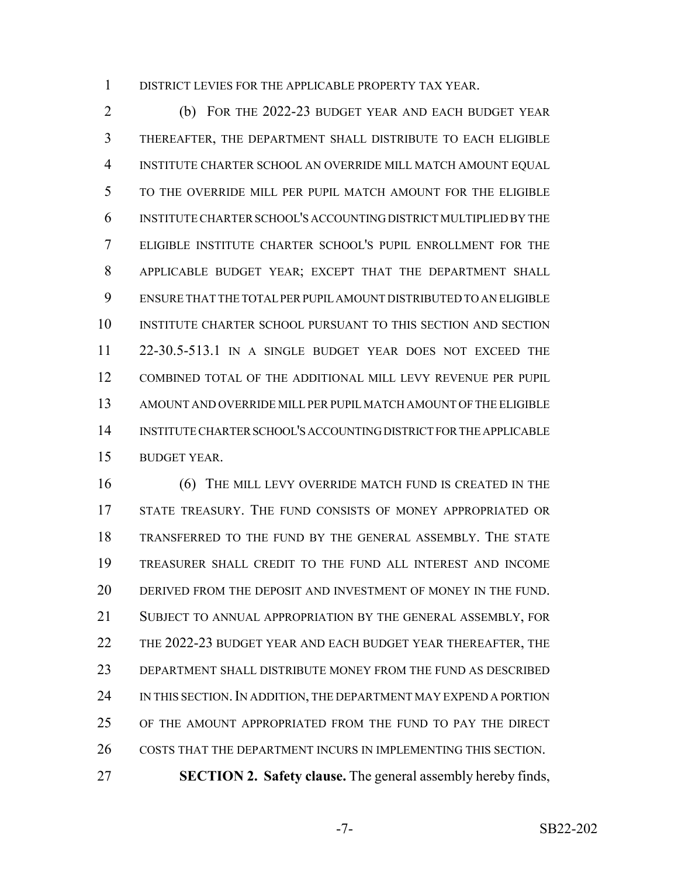DISTRICT LEVIES FOR THE APPLICABLE PROPERTY TAX YEAR.

 (b) FOR THE 2022-23 BUDGET YEAR AND EACH BUDGET YEAR THEREAFTER, THE DEPARTMENT SHALL DISTRIBUTE TO EACH ELIGIBLE INSTITUTE CHARTER SCHOOL AN OVERRIDE MILL MATCH AMOUNT EQUAL TO THE OVERRIDE MILL PER PUPIL MATCH AMOUNT FOR THE ELIGIBLE INSTITUTE CHARTER SCHOOL'S ACCOUNTING DISTRICT MULTIPLIED BY THE ELIGIBLE INSTITUTE CHARTER SCHOOL'S PUPIL ENROLLMENT FOR THE APPLICABLE BUDGET YEAR; EXCEPT THAT THE DEPARTMENT SHALL ENSURE THAT THE TOTAL PER PUPIL AMOUNT DISTRIBUTED TO AN ELIGIBLE INSTITUTE CHARTER SCHOOL PURSUANT TO THIS SECTION AND SECTION 22-30.5-513.1 IN A SINGLE BUDGET YEAR DOES NOT EXCEED THE COMBINED TOTAL OF THE ADDITIONAL MILL LEVY REVENUE PER PUPIL AMOUNT AND OVERRIDE MILL PER PUPIL MATCH AMOUNT OF THE ELIGIBLE INSTITUTE CHARTER SCHOOL'S ACCOUNTING DISTRICT FOR THE APPLICABLE BUDGET YEAR.

**6** (6) THE MILL LEVY OVERRIDE MATCH FUND IS CREATED IN THE STATE TREASURY. THE FUND CONSISTS OF MONEY APPROPRIATED OR TRANSFERRED TO THE FUND BY THE GENERAL ASSEMBLY. THE STATE TREASURER SHALL CREDIT TO THE FUND ALL INTEREST AND INCOME DERIVED FROM THE DEPOSIT AND INVESTMENT OF MONEY IN THE FUND. SUBJECT TO ANNUAL APPROPRIATION BY THE GENERAL ASSEMBLY, FOR 22 THE 2022-23 BUDGET YEAR AND EACH BUDGET YEAR THEREAFTER, THE DEPARTMENT SHALL DISTRIBUTE MONEY FROM THE FUND AS DESCRIBED 24 IN THIS SECTION. IN ADDITION, THE DEPARTMENT MAY EXPEND A PORTION OF THE AMOUNT APPROPRIATED FROM THE FUND TO PAY THE DIRECT 26 COSTS THAT THE DEPARTMENT INCURS IN IMPLEMENTING THIS SECTION. **SECTION 2. Safety clause.** The general assembly hereby finds,

-7- SB22-202